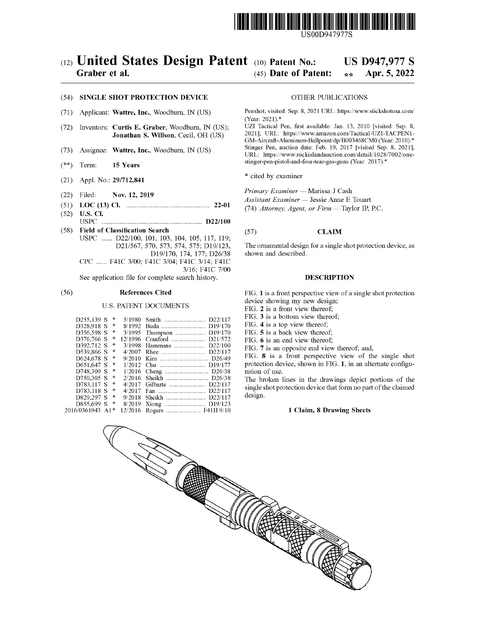

USOOD9479778

# (12) United States Design Patent (10) Patent No.: US D947,977 S<br>Graber et al. (45) Date of Patent:  $\frac{1}{2}$  Apr. 5, 2022

## (45) Date of Patent:  $*$

#### (54) SINGLE SHOT PROTECTION DEVICE OTHER PUBLICATIONS

- (71) Applicant: Wattre, Inc., Woodburn, IN (US)
- $(72)$  Inventors: **Curtis E. Graber**, Woodburn, IN (US); Jonathan S. Willson, Cecil, OH (US)
- (73) Assignee: Wattre, Inc., Woodburn, IN (US)
- $(**)$  Term: 15 Years
- (21) Appl. No.:  $29/712,841$  \* cited by examiner
- (22) Filed: Nov. 12, 2019
- (51) LOC (13) Cl.  $\ldots$  22-01 (52) U.S. Cl.
- ( 52 ) U.S. Ci . USPC D22 / 100
- (58) Field of Classification Search USPC ...... D22/100, 101, 103, 104, 105, 117, 119;<br>D21/567, 570, 573, 574, 575; D19/123,

D19/170, 174, 177; D26/38 CPC ...... F41C 3/00; F41C 3/04; F41C 3/14; F41C 3/16; F41C 7/00

See application file for complete search history.

#### (56) References Cited

### U.S. PATENT DOCUMENTS

| D255,139 S   |     | 咔 | 5/1980  | D22/117<br>Smith                 |
|--------------|-----|---|---------|----------------------------------|
| D328.918 S   |     | 净 | 8/1992  | D19/170<br>Buda                  |
| D356,598 S   |     | 咔 | 3/1995  | D <sub>19</sub> /170             |
| D376,766 S   |     | 净 | 12/1996 | D <sub>21</sub> /57 <sub>2</sub> |
| D392.712 S   |     | 申 | 3/1998  | D22/100<br>$Hammans$             |
| D539,866 S   |     | 永 | 4/2007  | D22/117<br>Rhee                  |
| D624.678 S   |     | 凄 | 9/2010  | Kim                              |
| D651.647 S   |     | 車 | 1/2012  | D <sub>19</sub> /177             |
| D748.309 S   |     | 咔 | 1/2016  |                                  |
| D750.305 S   |     | 凄 | 2/2016  | Sheikh  D26/38                   |
| D783.117 S   |     | 咔 | 4/2017  | Gilbarte<br>D22/117              |
| D783.118 S   |     | 卟 | 4/2017  | D <sub>22</sub> /117<br>Fan      |
| D829,297 S   |     | 涞 | 9/2018  | D22/117<br>Sheikh                |
| D855.699 S   |     | 咔 | 8/2019  |                                  |
| 2016/0361943 | A 1 |   | 12/2016 |                                  |
|              |     |   |         |                                  |

Penshot, visited: Sep. 8, 2021 URL: https://www.stickshotusa.com/ (Year: 2021).\*<br>UZI Tactical Pen, first available: Jan. 13, 2010 [visited: Sep. 8,

2021], URL: https://www.amazon.com/Tactical-UZI-TACPEN1-GM-Aircraft-Aluminum-Ballpoint/dp/B003468CM0 (Year: 2010).\*<br>Stinger Pen, auction date: Feb. 19, 2017 [visited Sep. 8, 2021], URL: https://www.rockislandauction.com/detail/1028/7002/one-stinger-pen-pistol-and-four-tear-gas-guns (Year: 2017).\*

Primary Examiner - Marissa J Cash

Assistant Examiner - Jessie Anne E Touart

(74) Attorney, Agent, or  $Firm$  - Taylor IP, P.C.

## (57) **CLAIM**

The ornamental design for a single shot protection device , as shown and described.

## DESCRIPTION

FIG. 1 is a front perspective view of a single shot protection device showing my new design;

FIG. 2 is a front view thereof; FIG. 3 is a bottom view thereof;

FIG.  $4$  is a top view thereof;

FIG. 5 is a back view thereof;

FIG. 6 is an end view thereof;<br>FIG. 7 is an opposite end view thereof; and,

FIG. 8 is a front perspective view of the single shot protection device, shown in FIG. 1, in an alternate configu-

ration of use.<br>The broken lines in the drawings depict portions of the

single shot protection device that form no part of the claimed design.

#### 1 Claim, 8 Drawing Sheets

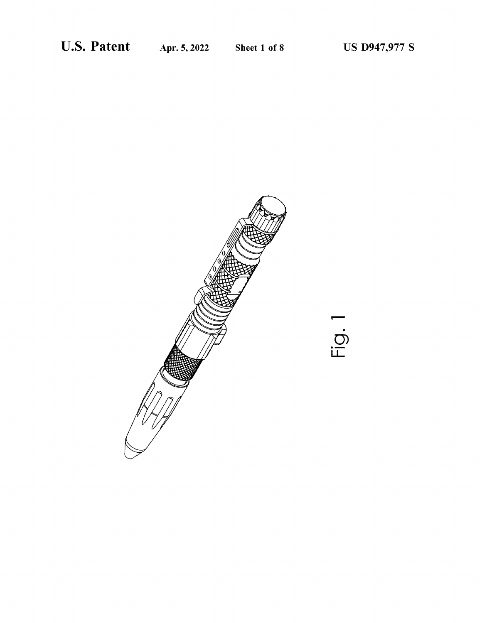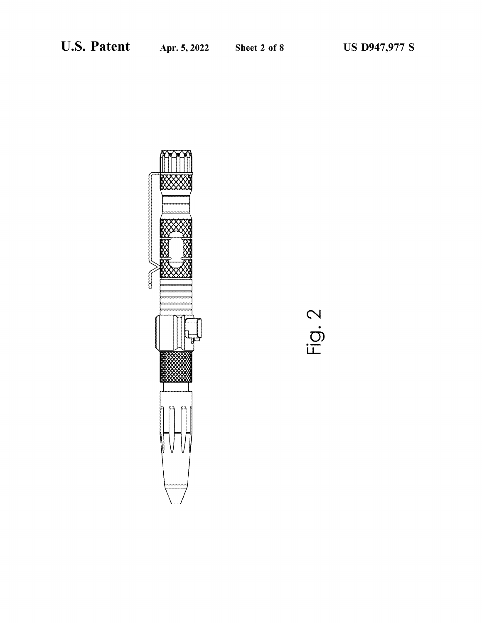

Fig. 2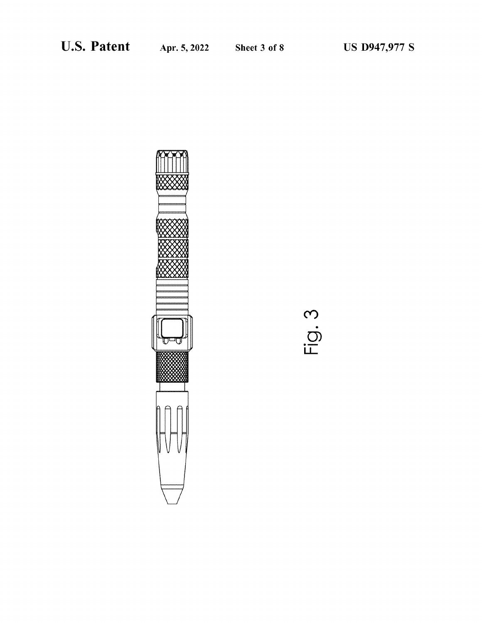

Fig. 3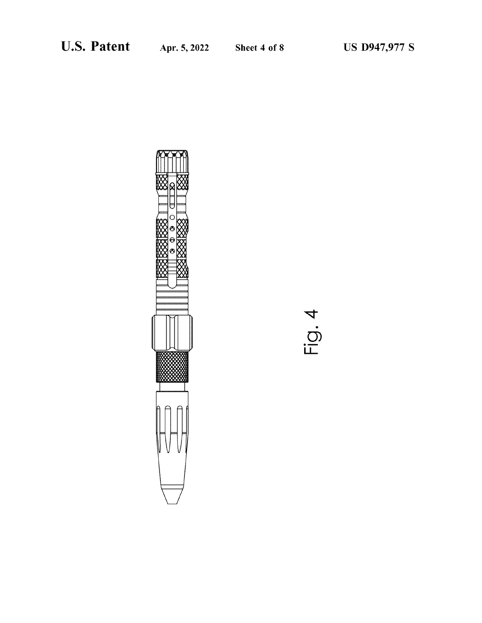

4  $\frac{1}{10}$ .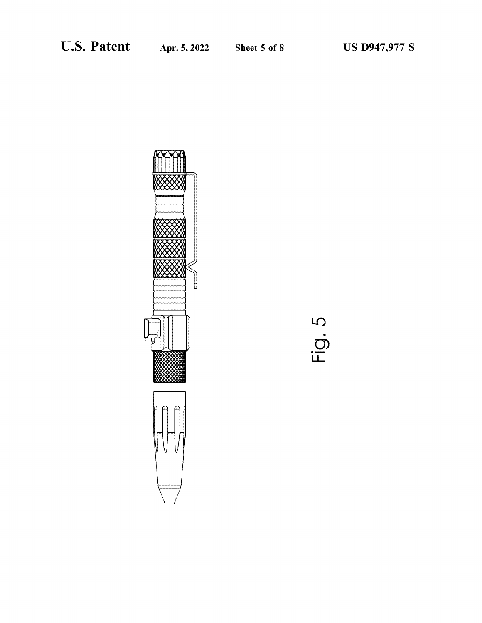

5 .Fig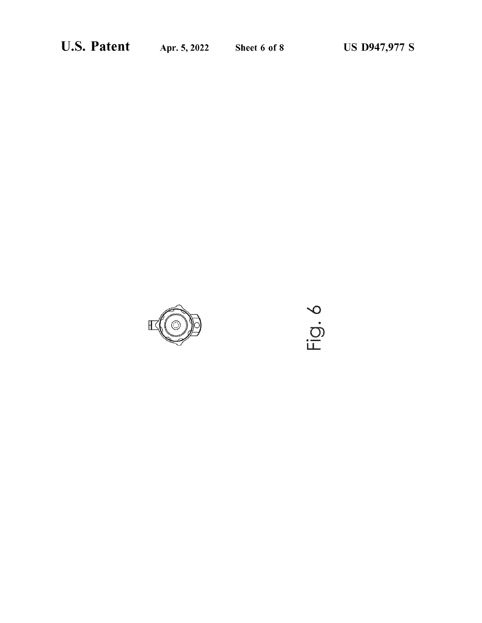

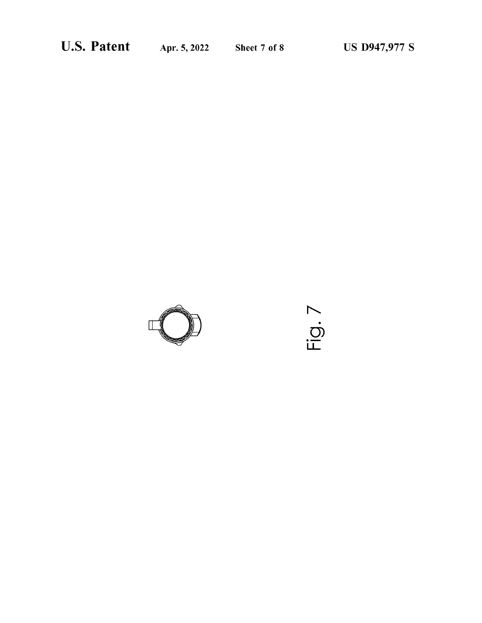